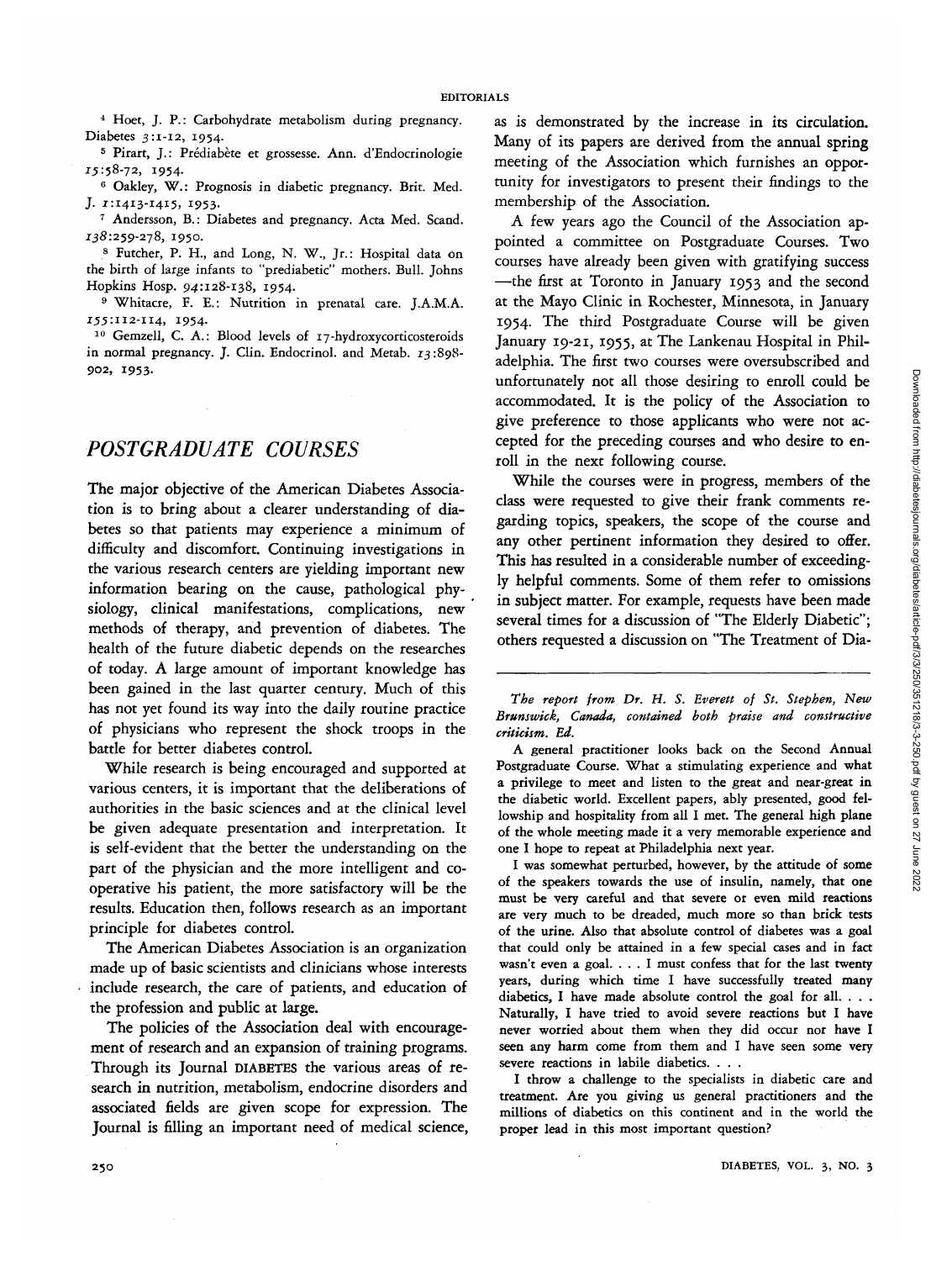4 Hoet, J. P.: Carbohydrate metabolism during pregnancy. Diabetes 3:1-12, 1954.

<sup>5</sup> Pirart, J.: Prédiabète et grossesse. Ann. d'Endocrinologie x^:58-72, 1954- <sup>6</sup>

<sup>6</sup> Oakley, W.: Prognosis in diabetic pregnancy. Brit. Med. J. 1:1413-1415, 1953. <sup>7</sup>

 Andersson, B.: Diabetes and pregnancy. Acta Med. Scand. 138:259-278, 1950.

8 Futcher, P. H., and Long, N. W., Jr.: Hospital data on the birth of large infants to "prediabetic" mothers. Bull. Johns Hopkins Hosp. 94:128-138, 1954.

 Whitacre, F. E.: Nutrition in prenatal care. J.A.M.A. 755:112-114, 1954. <sup>10</sup>

<sup>10</sup> Gemzell, C. A.: Blood levels of 17-hydroxycorticosteroids in normal pregnancy. J. Clin. Endocrinol. and Metab. 13:898-902, 1953.

## *POSTGRADUATE COURSES*

The major objective of the American Diabetes Association is to bring about a clearer understanding of diabetes so that patients may experience a minimum of difficulty and discomfort. Continuing investigations in the various research centers are yielding important new information bearing on the cause, pathological physiology, clinical manifestations, complications, new methods of therapy, and prevention of diabetes. The health of the future diabetic depends on the researches of today. A large amount of important knowledge has been gained in the last quarter century. Much of this has not yet found its way into the daily routine practice of physicians who represent the shock troops in the battle for better diabetes control.

While research is being encouraged and supported at various centers, it is important that the deliberations of authorities in the basic sciences and at the clinical level be given adequate presentation and interpretation. It is self-evident that the better the understanding on the part of the physician and the more intelligent and cooperative his patient, the more satisfactory will be the results. Education then, follows research as an important principle for diabetes control.

The American Diabetes Association is an organization made up of basic scientists and clinicians whose interests include research, the care of patients, and education of the profession and public at large.

The policies of the Association deal with encouragement of research and an expansion of training programs. Through its Journal DIABETES the various areas of research in nutrition, metabolism, endocrine disorders and associated fields are given scope for expression. The Journal is filling an important need of medical science,

as is demonstrated by the increase in its circulation. Many of its papers are derived from the annual spring meeting of the Association which furnishes an opportunity for investigators to present their findings to the membership of the Association.

A few years ago the Council of the Association appointed a committee on Postgraduate Courses. Two courses have already been given with gratifying success —the first at Toronto in January 1953 and the second at the Mayo Clinic in Rochester, Minnesota, in January 1954. The third Postgraduate Course will be given January 19-21, 1955, at The Lankenau Hospital in Philadelphia. The first two courses were oversubscribed and unfortunately not all those desiring to enroll could be accommodated. It is the policy of the Association to give preference to those applicants who were not accepted for the preceding courses and who desire to enroll in the next following course.

While the courses were in progress, members of the class were requested to give their frank comments regarding topics, speakers, the scope of the course and any other pertinent information they desired to offer. This has resulted in a considerable number of exceedingly helpful comments. Some of them refer to omissions in subject matter. For example, requests have been made several times for a discussion of "The Elderly Diabetic"; others requested a discussion on "The Treatment of Dia-

*The report from Dr. H. S. Everett of St. Stephen, New Brunswick, Canada, contained both praise and constructive criticism. Ed.*

A general practitioner looks back on the Second Annual Postgraduate Course. What a stimulating experience and what a privilege to meet and listen to the great and near-great in the diabetic world. Excellent papers, ably presented, good fellowship and hospitality from all I met. The general high plane of the whole meeting made it a very memorable experience and one I hope to repeat at Philadelphia next year.

I was somewhat perturbed, however, by the attitude of some of the speakers towards the use of insulin, namely, that one must be very careful and that severe or even mild reactions are very much to be dreaded, much more so than brick tests of the urine. Also that absolute control of diabetes was a goal that could only be attained in a few special cases and in fact wasn't even a goal. .. . I must confess that for the last twenty years, during which time I have successfully treated many diabetics, I have made absolute control the goal for all. . . . Naturally, I have tried to avoid severe reactions but I have never worried about them when they did occur nor have I seen any harm come from them and I have seen some very severe reactions in labile diabetics. . . .

I throw a challenge to the specialists in diabetic care and treatment. Are you giving us general practitioners and the millions of diabetics on this continent and in the world the proper lead in this most important question?